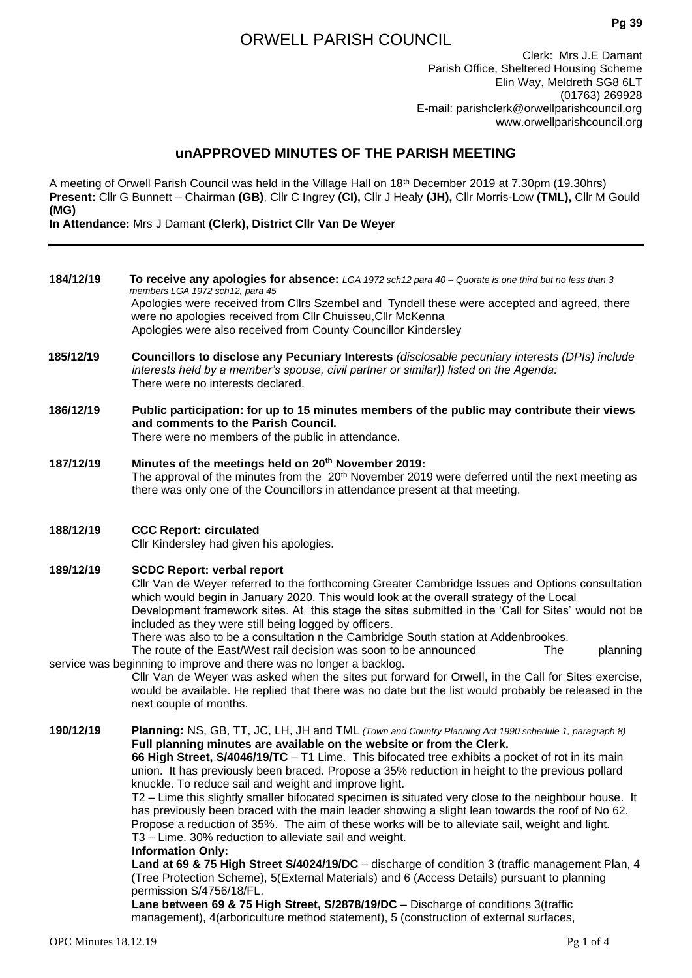# ORWELL PARISH COUNCIL

Clerk: Mrs J.E Damant Parish Office, Sheltered Housing Scheme Elin Way, Meldreth SG8 6LT (01763) 269928 E-mail: [pa](mailto:parishclerkorwell@dsl.pipex.com)rishclerk@orwellparishcouncil.org www.orwellparishcouncil.org

## **unAPPROVED MINUTES OF THE PARISH MEETING**

A meeting of Orwell Parish Council was held in the Village Hall on 18th December 2019 at 7.30pm (19.30hrs) **Present:** Cllr G Bunnett – Chairman **(GB)**, Cllr C Ingrey **(CI),** Cllr J Healy **(JH),** Cllr Morris-Low **(TML),** Cllr M Gould **(MG)**

**In Attendance:** Mrs J Damant **(Clerk), District Cllr Van De Weyer**

| 184/12/19 | To receive any apologies for absence: LGA 1972 sch12 para 40 - Quorate is one third but no less than 3 |
|-----------|--------------------------------------------------------------------------------------------------------|
|           | members LGA 1972 sch12, para 45                                                                        |
|           | Apologies were received from Cllrs Szembel and Tyndell these were accepted and agreed, there           |
|           | were no apologies received from Cllr Chuisseu, Cllr McKenna                                            |
|           | Apologies were also received from County Councillor Kindersley                                         |
|           |                                                                                                        |

- **185/12/19 Councillors to disclose any Pecuniary Interests** *(disclosable pecuniary interests (DPIs) include interests held by a member's spouse, civil partner or similar)) listed on the Agenda:* There were no interests declared.
- **186/12/19 Public participation: for up to 15 minutes members of the public may contribute their views and comments to the Parish Council.** There were no members of the public in attendance.
- **187/12/19 Minutes of the meetings held on 20th November 2019:** The approval of the minutes from the 20<sup>th</sup> November 2019 were deferred until the next meeting as there was only one of the Councillors in attendance present at that meeting.

### **188/12/19 CCC Report: circulated**

Cllr Kindersley had given his apologies.

### **189/12/19 SCDC Report: verbal report**

Cllr Van de Weyer referred to the forthcoming Greater Cambridge Issues and Options consultation which would begin in January 2020. This would look at the overall strategy of the Local Development framework sites. At this stage the sites submitted in the 'Call for Sites' would not be included as they were still being logged by officers.

There was also to be a consultation n the Cambridge South station at Addenbrookes.

The route of the East/West rail decision was soon to be announced The planning service was beginning to improve and there was no longer a backlog.

Cllr Van de Weyer was asked when the sites put forward for Orwell, in the Call for Sites exercise, would be available. He replied that there was no date but the list would probably be released in the next couple of months.

**190/12/19 Planning:** NS, GB, TT, JC, LH, JH and TML *(Town and Country Planning Act 1990 schedule 1, paragraph 8)* **Full planning minutes are available on the website or from the Clerk.** 

**66 High Street, S/4046/19/TC** – T1 Lime. This bifocated tree exhibits a pocket of rot in its main union. It has previously been braced. Propose a 35% reduction in height to the previous pollard knuckle. To reduce sail and weight and improve light.

T2 – Lime this slightly smaller bifocated specimen is situated very close to the neighbour house. It has previously been braced with the main leader showing a slight lean towards the roof of No 62. Propose a reduction of 35%. The aim of these works will be to alleviate sail, weight and light. T3 – Lime. 30% reduction to alleviate sail and weight.

#### **Information Only:**

**Land at 69 & 75 High Street S/4024/19/DC** – discharge of condition 3 (traffic management Plan, 4 (Tree Protection Scheme), 5(External Materials) and 6 (Access Details) pursuant to planning permission S/4756/18/FL.

**Lane between 69 & 75 High Street, S/2878/19/DC** – Discharge of conditions 3(traffic management), 4(arboriculture method statement), 5 (construction of external surfaces,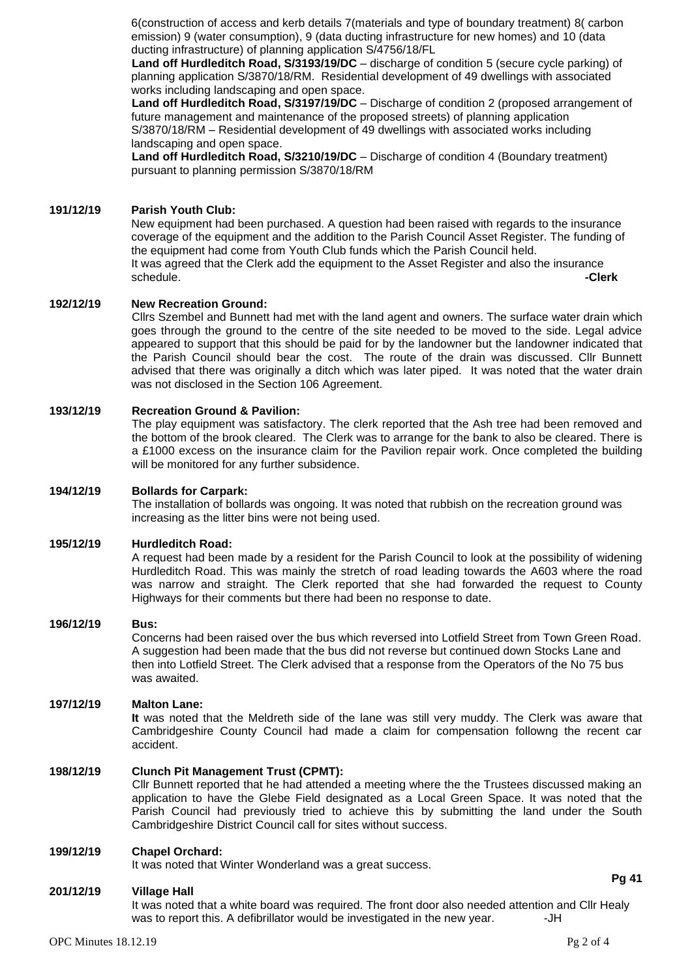6(construction of access and kerb details 7(materials and type of boundary treatment) 8( carbon emission) 9 (water consumption), 9 (data ducting infrastructure for new homes) and 10 (data ducting infrastructure) of planning application S/4756/18/FL

**Land off Hurdleditch Road, S/3193/19/DC** – discharge of condition 5 (secure cycle parking) of planning application S/3870/18/RM. Residential development of 49 dwellings with associated works including landscaping and open space.

**Land off Hurdleditch Road, S/3197/19/DC** – Discharge of condition 2 (proposed arrangement of future management and maintenance of the proposed streets) of planning application S/3870/18/RM – Residential development of 49 dwellings with associated works including landscaping and open space.

**Land off Hurdleditch Road, S/3210/19/DC** – Discharge of condition 4 (Boundary treatment) pursuant to planning permission S/3870/18/RM

### **191/12/19 Parish Youth Club:**

New equipment had been purchased. A question had been raised with regards to the insurance coverage of the equipment and the addition to the Parish Council Asset Register. The funding of the equipment had come from Youth Club funds which the Parish Council held. It was agreed that the Clerk add the equipment to the Asset Register and also the insurance schedule. **-Clerk**

### **192/12/19 New Recreation Ground:**

Cllrs Szembel and Bunnett had met with the land agent and owners. The surface water drain which goes through the ground to the centre of the site needed to be moved to the side. Legal advice appeared to support that this should be paid for by the landowner but the landowner indicated that the Parish Council should bear the cost. The route of the drain was discussed. Cllr Bunnett advised that there was originally a ditch which was later piped. It was noted that the water drain was not disclosed in the Section 106 Agreement.

#### **193/12/19 Recreation Ground & Pavilion:**

The play equipment was satisfactory. The clerk reported that the Ash tree had been removed and the bottom of the brook cleared. The Clerk was to arrange for the bank to also be cleared. There is a £1000 excess on the insurance claim for the Pavilion repair work. Once completed the building will be monitored for any further subsidence.

### **194/12/19 Bollards for Carpark:**

The installation of bollards was ongoing. It was noted that rubbish on the recreation ground was increasing as the litter bins were not being used.

#### **195/12/19 Hurdleditch Road:**

A request had been made by a resident for the Parish Council to look at the possibility of widening Hurdleditch Road. This was mainly the stretch of road leading towards the A603 where the road was narrow and straight. The Clerk reported that she had forwarded the request to County Highways for their comments but there had been no response to date.

#### **196/12/19 Bus:**

Concerns had been raised over the bus which reversed into Lotfield Street from Town Green Road. A suggestion had been made that the bus did not reverse but continued down Stocks Lane and then into Lotfield Street. The Clerk advised that a response from the Operators of the No 75 bus was awaited.

### **197/12/19 Malton Lane:**

**It** was noted that the Meldreth side of the lane was still very muddy. The Clerk was aware that Cambridgeshire County Council had made a claim for compensation followng the recent car accident.

### **198/12/19 Clunch Pit Management Trust (CPMT):**

Cllr Bunnett reported that he had attended a meeting where the the Trustees discussed making an application to have the Glebe Field designated as a Local Green Space. It was noted that the Parish Council had previously tried to achieve this by submitting the land under the South Cambridgeshire District Council call for sites without success.

### **199/12/19 Chapel Orchard:**

It was noted that Winter Wonderland was a great success.

### **201/12/19 Village Hall**

It was noted that a white board was required. The front door also needed attention and Cllr Healy was to report this. A defibrillator would be investigated in the new year.  $-JH$ 

**Pg 41**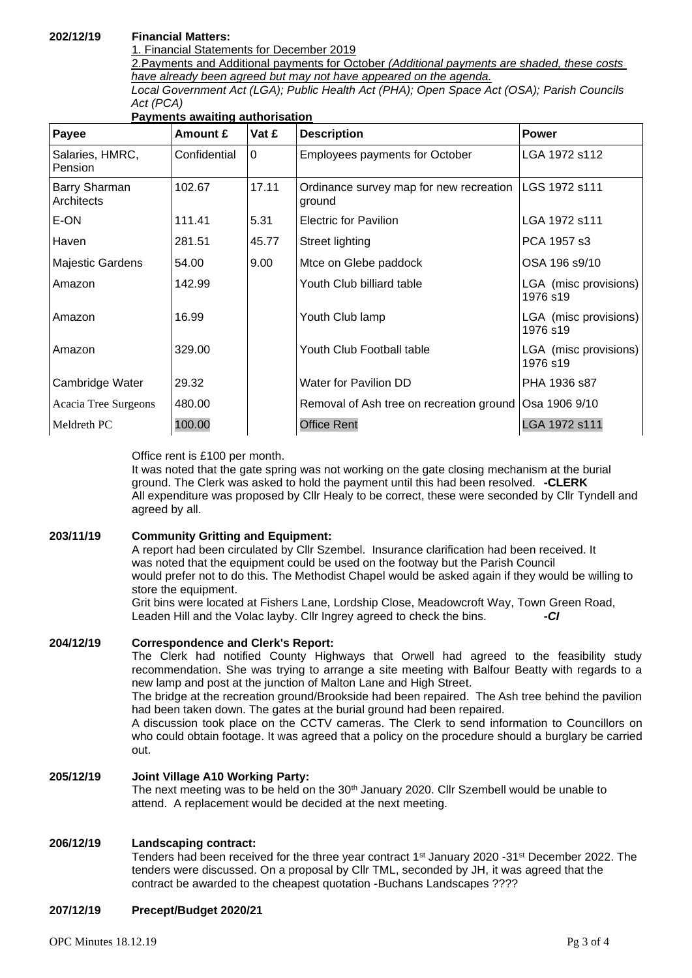### **202/12/19 Financial Matters:**

1. Financial Statements for December 2019

2.Payments and Additional payments for October *(Additional payments are shaded, these costs have already been agreed but may not have appeared on the agenda.*

*Local Government Act (LGA); Public Health Act (PHA); Open Space Act (OSA); Parish Councils Act (PCA)*

| Payments awaiting authorisation |              |          |                                                   |                                   |  |  |
|---------------------------------|--------------|----------|---------------------------------------------------|-----------------------------------|--|--|
| Payee                           | Amount £     | Vat £    | <b>Description</b>                                | <b>Power</b>                      |  |  |
| Salaries, HMRC,<br>Pension      | Confidential | $\Omega$ | <b>Employees payments for October</b>             | LGA 1972 s112                     |  |  |
| Barry Sharman<br>Architects     | 102.67       | 17.11    | Ordinance survey map for new recreation<br>ground | LGS 1972 s111                     |  |  |
| E-ON                            | 111.41       | 5.31     | <b>Electric for Pavilion</b>                      | LGA 1972 s111                     |  |  |
| Haven                           | 281.51       | 45.77    | Street lighting                                   | PCA 1957 s3                       |  |  |
| <b>Majestic Gardens</b>         | 54.00        | 9.00     | Mtce on Glebe paddock                             | OSA 196 s9/10                     |  |  |
| Amazon                          | 142.99       |          | Youth Club billiard table                         | LGA (misc provisions)<br>1976 s19 |  |  |
| Amazon                          | 16.99        |          | Youth Club lamp                                   | LGA (misc provisions)<br>1976 s19 |  |  |
| Amazon                          | 329.00       |          | Youth Club Football table                         | LGA (misc provisions)<br>1976 s19 |  |  |
| Cambridge Water                 | 29.32        |          | Water for Pavilion DD                             | PHA 1936 s87                      |  |  |
| Acacia Tree Surgeons            | 480.00       |          | Removal of Ash tree on recreation ground          | Osa 1906 9/10                     |  |  |
| Meldreth PC                     | 100.00       |          | <b>Office Rent</b>                                | LGA 1972 s111                     |  |  |

### **Payments awaiting authorisation**

Office rent is £100 per month.

It was noted that the gate spring was not working on the gate closing mechanism at the burial ground. The Clerk was asked to hold the payment until this had been resolved. **-CLERK** All expenditure was proposed by Cllr Healy to be correct, these were seconded by Cllr Tyndell and agreed by all.

### **203/11/19 Community Gritting and Equipment:**

A report had been circulated by Cllr Szembel. Insurance clarification had been received. It was noted that the equipment could be used on the footway but the Parish Council would prefer not to do this. The Methodist Chapel would be asked again if they would be willing to store the equipment.

Grit bins were located at Fishers Lane, Lordship Close, Meadowcroft Way, Town Green Road, Leaden Hill and the Volac layby. Cllr Ingrey agreed to check the bins. *-CI*

### **204/12/19 Correspondence and Clerk's Report:**

The Clerk had notified County Highways that Orwell had agreed to the feasibility study recommendation. She was trying to arrange a site meeting with Balfour Beatty with regards to a new lamp and post at the junction of Malton Lane and High Street.

The bridge at the recreation ground/Brookside had been repaired. The Ash tree behind the pavilion had been taken down. The gates at the burial ground had been repaired.

A discussion took place on the CCTV cameras. The Clerk to send information to Councillors on who could obtain footage. It was agreed that a policy on the procedure should a burglary be carried out.

### **205/12/19 Joint Village A10 Working Party:**

The next meeting was to be held on the  $30<sup>th</sup>$  January 2020. Cllr Szembell would be unable to attend. A replacement would be decided at the next meeting.

### **206/12/19 Landscaping contract:**

Tenders had been received for the three year contract 1<sup>st</sup> January 2020 -31<sup>st</sup> December 2022. The tenders were discussed. On a proposal by Cllr TML, seconded by JH, it was agreed that the contract be awarded to the cheapest quotation -Buchans Landscapes ????

### **207/12/19 Precept/Budget 2020/21**